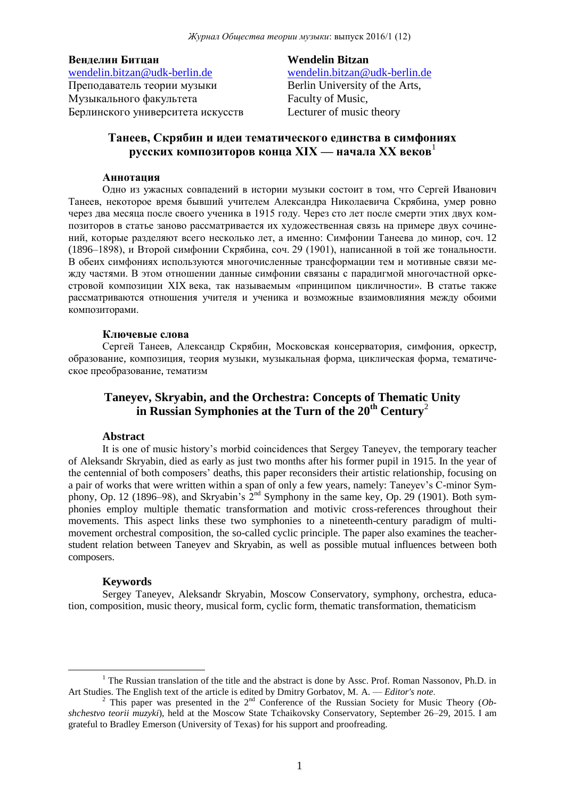### **Венделин Битцан**

[wendelin.bitzan@udk-berlin.de](mailto:wendelin.bitzan@udk-berlin.de) Преподаватель теории музыки Музыкального факультета Берлинского университета искусств **Wendelin Bitzan** [wendelin.bitzan@udk-berlin.de](mailto:wendelin.bitzan@udk-berlin.de) Berlin University of the Arts, Faculty of Music, Lecturer of music theory

# **Танеев, Скрябин и идеи тематического единства в симфониях русских композиторов конца XIX — начала XX веков**<sup>1</sup>

#### **Аннотация**

Одно из ужасных совпадений в истории музыки состоит в том, что Сергей Иванович Танеев, некоторое время бывший учителем Александра Николаевича Скрябина, умер ровно через два месяца после своего ученика в 1915 году. Через сто лет после смерти этих двух композиторов в статье заново рассматривается их художественная связь на примере двух сочинений, которые разделяют всего несколько лет, а именно: Симфонии Танеева до минор, соч. 12 (1896–1898), и Второй симфонии Скрябина, соч. 29 (1901), написанной в той же тональности. В обеих симфониях используются многочисленные трансформации тем и мотивные связи между частями. В этом отношении данные симфонии связаны с парадигмой многочастной оркестровой композиции XIX века, так называемым «принципом цикличности». В статье также рассматриваются отношения учителя и ученика и возможные взаимовлияния между обоими композиторами.

#### **Ключевые слова**

Сергей Танеев, Александр Скрябин, Московская консерватория, симфония, оркестр, образование, композиция, теория музыки, музыкальная форма, циклическая форма, тематическое преобразование, тематизм

# **Taneyev, Skryabin, and the Orchestra: Concepts of Thematic Unity in Russian Symphonies at the Turn of the 20th Century**<sup>2</sup>

#### **Abstract**

It is one of music history's morbid coincidences that Sergey Taneyev, the temporary teacher of Aleksandr Skryabin, died as early as just two months after his former pupil in 1915. In the year of the centennial of both composers' deaths, this paper reconsiders their artistic relationship, focusing on a pair of works that were written within a span of only a few years, namely: Taneyev's C-minor Symphony, Op. 12 (1896–98), and Skryabin's  $2^{nd}$  Symphony in the same key, Op. 29 (1901). Both symphonies employ multiple thematic transformation and motivic cross-references throughout their movements. This aspect links these two symphonies to a nineteenth-century paradigm of multimovement orchestral composition, the so-called cyclic principle. The paper also examines the teacherstudent relation between Taneyev and Skryabin, as well as possible mutual influences between both composers.

#### **Keywords**

<u>.</u>

Sergey Taneyev, Aleksandr Skryabin, Moscow Conservatory, symphony, orchestra, education, composition, music theory, musical form, cyclic form, thematic transformation, thematicism

<sup>&</sup>lt;sup>1</sup> The Russian translation of the title and the abstract is done by Assc. Prof. Roman Nassonov, Ph.D. in Art Studies. The English text of the article is edited by Dmitry Gorbatov, M. A. — *Editor's note*.

<sup>&</sup>lt;sup>2</sup> This paper was presented in the 2<sup>nd</sup> Conference of the Russian Society for Music Theory (*Obshchestvo teorii muzyki*), held at the Moscow State Tchaikovsky Conservatory, September 26–29, 2015. I am grateful to Bradley Emerson (University of Texas) for his support and proofreading.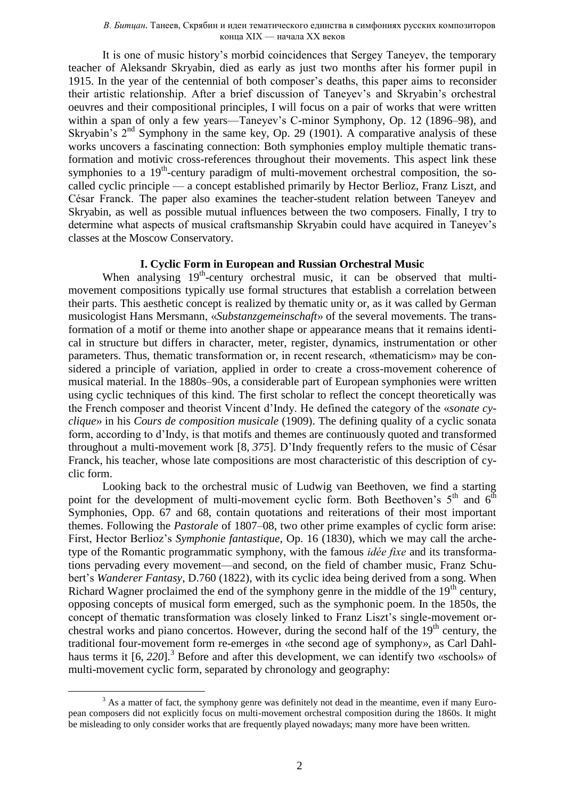#### *В. Битцан.* Танеев, Скрябин и идеи тематического единства в симфониях русских композиторов конца XIX — начала XX веков

It is one of music history's morbid coincidences that Sergey Taneyev, the temporary teacher of Aleksandr Skryabin, died as early as just two months after his former pupil in 1915. In the year of the centennial of both composer's deaths, this paper aims to reconsider their artistic relationship. After a brief discussion of Taneyev's and Skryabin's orchestral oeuvres and their compositional principles, I will focus on a pair of works that were written within a span of only a few years—Taneyev's C-minor Symphony, Op. 12 (1896–98), and Skryabin's  $2<sup>nd</sup>$  Symphony in the same key, Op. 29 (1901). A comparative analysis of these works uncovers a fascinating connection: Both symphonies employ multiple thematic transformation and motivic cross-references throughout their movements. This aspect link these symphonies to a 19<sup>th</sup>-century paradigm of multi-movement orchestral composition, the socalled cyclic principle — a concept established primarily by Hector Berlioz, Franz Liszt, and César Franck. The paper also examines the teacher-student relation between Taneyev and Skryabin, as well as possible mutual influences between the two composers. Finally, I try to determine what aspects of musical craftsmanship Skryabin could have acquired in Taneyev's classes at the Moscow Conservatory.

## **I. Cyclic Form in European and Russian Orchestral Music**

When analysing 19<sup>th</sup>-century orchestral music, it can be observed that multimovement compositions typically use formal structures that establish a correlation between their parts. This aesthetic concept is realized by thematic unity or, as it was called by German musicologist Hans Mersmann, «*Substanzgemeinschaft*» of the several movements. The transformation of a motif or theme into another shape or appearance means that it remains identical in structure but differs in character, meter, register, dynamics, instrumentation or other parameters. Thus, thematic transformation or, in recent research, «thematicism» may be considered a principle of variation, applied in order to create a cross-movement coherence of musical material. In the 1880s–90s, a considerable part of European symphonies were written using cyclic techniques of this kind. The first scholar to reflect the concept theoretically was the French composer and theorist Vincent d'Indy. He defined the category of the «*sonate cyclique*» in his *Cours de composition musicale* (1909). The defining quality of a cyclic sonata form, according to d'Indy, is that motifs and themes are continuously quoted and transformed throughout a multi-movement work [8, *375*]. D'Indy frequently refers to the music of César Franck, his teacher, whose late compositions are most characteristic of this description of cyclic form.

Looking back to the orchestral music of Ludwig van Beethoven, we find a starting point for the development of multi-movement cyclic form. Both Beethoven's  $5<sup>th</sup>$  and  $6<sup>th</sup>$ Symphonies, Opp. 67 and 68, contain quotations and reiterations of their most important themes. Following the *Pastorale* of 1807–08, two other prime examples of cyclic form arise: First, Hector Berlioz's *Symphonie fantastique*, Op. 16 (1830), which we may call the archetype of the Romantic programmatic symphony, with the famous *idée fixe* and its transformations pervading every movement—and second, on the field of chamber music, Franz Schubert's *Wanderer Fantasy*, D.760 (1822), with its cyclic idea being derived from a song. When Richard Wagner proclaimed the end of the symphony genre in the middle of the 19<sup>th</sup> century, opposing concepts of musical form emerged, such as the symphonic poem. In the 1850s, the concept of thematic transformation was closely linked to Franz Liszt's single-movement orchestral works and piano concertos. However, during the second half of the  $19<sup>th</sup>$  century, the traditional four-movement form re-emerges in «the second age of symphony», as Carl Dahlhaus terms it [6, 220].<sup>3</sup> Before and after this development, we can identify two «schools» of multi-movement cyclic form, separated by chronology and geography:

<u>.</u>

 $3$  As a matter of fact, the symphony genre was definitely not dead in the meantime, even if many European composers did not explicitly focus on multi-movement orchestral composition during the 1860s. It might be misleading to only consider works that are frequently played nowadays; many more have been written.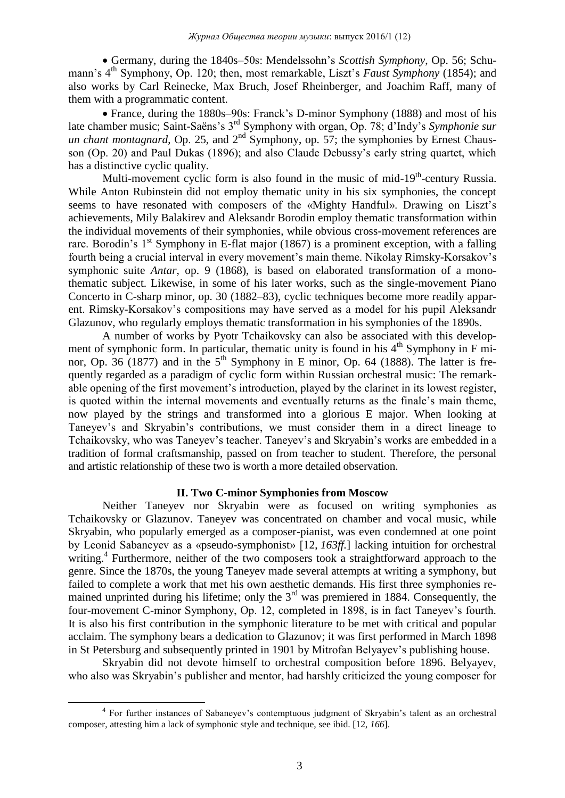Germany, during the 1840s–50s: Mendelssohn's *Scottish Symphony*, Op. 56; Schumann's 4<sup>th</sup> Symphony, Op. 120; then, most remarkable, Liszt's *Faust Symphony* (1854); and also works by Carl Reinecke, Max Bruch, Josef Rheinberger, and Joachim Raff, many of them with a programmatic content.

 France, during the 1880s–90s: Franck's D-minor Symphony (1888) and most of his late chamber music; Saint-Saëns's 3rd Symphony with organ, Op. 78; d'Indy's *Symphonie sur un chant montagnard*, Op. 25, and 2<sup>nd</sup> Symphony, op. 57; the symphonies by Ernest Chausson (Op. 20) and Paul Dukas (1896); and also Claude Debussy's early string quartet, which has a distinctive cyclic quality.

Multi-movement cyclic form is also found in the music of mid-19<sup>th</sup>-century Russia. While Anton Rubinstein did not employ thematic unity in his six symphonies, the concept seems to have resonated with composers of the «Mighty Handful». Drawing on Liszt's achievements, Mily Balakirev and Aleksandr Borodin employ thematic transformation within the individual movements of their symphonies, while obvious cross-movement references are rare. Borodin's  $1<sup>st</sup>$  Symphony in E-flat major (1867) is a prominent exception, with a falling fourth being a crucial interval in every movement's main theme. Nikolay Rimsky-Korsakov's symphonic suite *Antar*, op. 9 (1868), is based on elaborated transformation of a monothematic subject. Likewise, in some of his later works, such as the single-movement Piano Concerto in C-sharp minor, op. 30 (1882–83), cyclic techniques become more readily apparent. Rimsky-Korsakov's compositions may have served as a model for his pupil Aleksandr Glazunov, who regularly employs thematic transformation in his symphonies of the 1890s.

A number of works by Pyotr Tchaikovsky can also be associated with this development of symphonic form. In particular, thematic unity is found in his  $4<sup>th</sup>$  Symphony in F minor, Op. 36 (1877) and in the  $5<sup>th</sup>$  Symphony in E minor, Op. 64 (1888). The latter is frequently regarded as a paradigm of cyclic form within Russian orchestral music: The remarkable opening of the first movement's introduction, played by the clarinet in its lowest register, is quoted within the internal movements and eventually returns as the finale's main theme, now played by the strings and transformed into a glorious E major. When looking at Taneyev's and Skryabin's contributions, we must consider them in a direct lineage to Tchaikovsky, who was Taneyev's teacher. Taneyev's and Skryabin's works are embedded in a tradition of formal craftsmanship, passed on from teacher to student. Therefore, the personal and artistic relationship of these two is worth a more detailed observation.

## **II. Two C-minor Symphonies from Moscow**

Neither Taneyev nor Skryabin were as focused on writing symphonies as Tchaikovsky or Glazunov. Taneyev was concentrated on chamber and vocal music, while Skryabin, who popularly emerged as a composer-pianist, was even condemned at one point by Leonid Sabaneyev as a «pseudo-symphonist» [12, *163ff.*] lacking intuition for orchestral writing.<sup>4</sup> Furthermore, neither of the two composers took a straightforward approach to the genre. Since the 1870s, the young Taneyev made several attempts at writing a symphony, but failed to complete a work that met his own aesthetic demands. His first three symphonies remained unprinted during his lifetime; only the  $3<sup>rd</sup>$  was premiered in 1884. Consequently, the four-movement C-minor Symphony, Op. 12, completed in 1898, is in fact Taneyev's fourth. It is also his first contribution in the symphonic literature to be met with critical and popular acclaim. The symphony bears a dedication to Glazunov; it was first performed in March 1898 in St Petersburg and subsequently printed in 1901 by Mitrofan Belyayev's publishing house.

Skryabin did not devote himself to orchestral composition before 1896. Belyayev, who also was Skryabin's publisher and mentor, had harshly criticized the young composer for

<sup>&</sup>lt;sup>4</sup> For further instances of Sabaneyev's contemptuous judgment of Skryabin's talent as an orchestral composer, attesting him a lack of symphonic style and technique, see ibid. [12, *166*].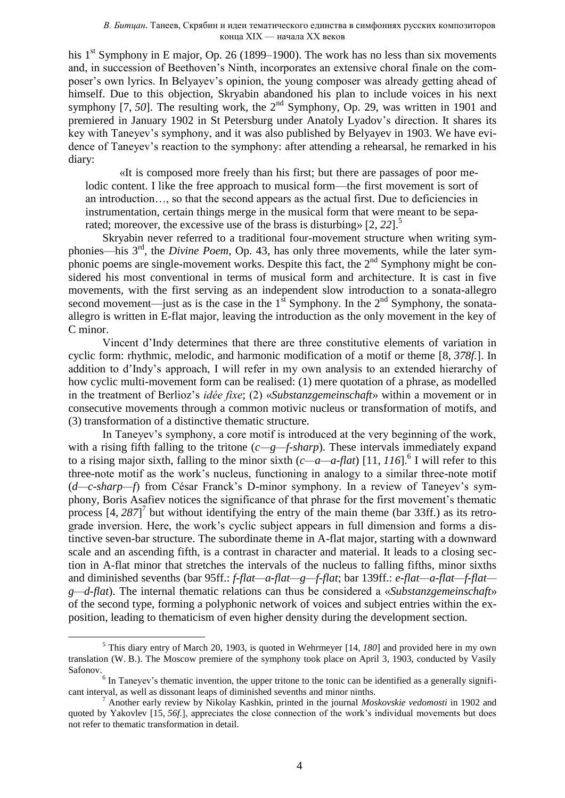his  $1<sup>st</sup>$  Symphony in E major, Op. 26 (1899–1900). The work has no less than six movements and, in succession of Beethoven's Ninth, incorporates an extensive choral finale on the composer's own lyrics. In Belyayev's opinion, the young composer was already getting ahead of himself. Due to this objection, Skryabin abandoned his plan to include voices in his next symphony [7,  $50$ ]. The resulting work, the  $2<sup>nd</sup>$  Symphony, Op. 29, was written in 1901 and premiered in January 1902 in St Petersburg under Anatoly Lyadov's direction. It shares its key with Taneyev's symphony, and it was also published by Belyayev in 1903. We have evidence of Taneyev's reaction to the symphony: after attending a rehearsal, he remarked in his diary:

«It is composed more freely than his first; but there are passages of poor melodic content. I like the free approach to musical form—the first movement is sort of an introduction…, so that the second appears as the actual first. Due to deficiencies in instrumentation, certain things merge in the musical form that were meant to be separated; moreover, the excessive use of the brass is disturbing» [2, 22].<sup>5</sup>

Skryabin never referred to a traditional four-movement structure when writing symphonies—his 3rd, the *Divine Poem*, Op. 43, has only three movements, while the later symphonic poems are single-movement works. Despite this fact, the  $2<sup>nd</sup>$  Symphony might be considered his most conventional in terms of musical form and architecture. It is cast in five movements, with the first serving as an independent slow introduction to a sonata-allegro second movement—just as is the case in the  $1<sup>st</sup>$  Symphony. In the  $2<sup>nd</sup>$  Symphony, the sonataallegro is written in E-flat major, leaving the introduction as the only movement in the key of C minor.

Vincent d'Indy determines that there are three constitutive elements of variation in cyclic form: rhythmic, melodic, and harmonic modification of a motif or theme [8, *378f.*]. In addition to d'Indy's approach, I will refer in my own analysis to an extended hierarchy of how cyclic multi-movement form can be realised: (1) mere quotation of a phrase, as modelled in the treatment of Berlioz's *idée fixe*; (2) «*Substanzgemeinschaft*» within a movement or in consecutive movements through a common motivic nucleus or transformation of motifs, and (3) transformation of a distinctive thematic structure.

In Taneyev's symphony, a core motif is introduced at the very beginning of the work, with a rising fifth falling to the tritone (*c—g—f-sharp*). These intervals immediately expand to a rising major sixth, falling to the minor sixth  $(c-a-a-flat)$  [11, 116].<sup>6</sup> I will refer to this three-note motif as the work's nucleus, functioning in analogy to a similar three-note motif (*d—c-sharp—f*) from César Franck's D-minor symphony. In a review of Taneyev's symphony, Boris Asafiev notices the significance of that phrase for the first movement's thematic process  $\left[4, 287\right]^7$  but without identifying the entry of the main theme (bar 33ff.) as its retrograde inversion. Here, the work's cyclic subject appears in full dimension and forms a distinctive seven-bar structure. The subordinate theme in A-flat major, starting with a downward scale and an ascending fifth, is a contrast in character and material. It leads to a closing section in A-flat minor that stretches the intervals of the nucleus to falling fifths, minor sixths and diminished sevenths (bar 95ff.: *f-flat—a-flat—g—f-flat*; bar 139ff.: *e-flat—a-flat—f-flat g—d-flat*). The internal thematic relations can thus be considered a «*Substanzgemeinschaft*» of the second type, forming a polyphonic network of voices and subject entries within the exposition, leading to thematicism of even higher density during the development section.

<sup>5</sup> This diary entry of March 20, 1903, is quoted in Wehrmeyer [14, *180*] and provided here in my own translation (W. B.). The Moscow premiere of the symphony took place on April 3, 1903, conducted by Vasily Safonov.

 $<sup>6</sup>$  In Taneyev's thematic invention, the upper tritone to the tonic can be identified as a generally signifi-</sup> cant interval, as well as dissonant leaps of diminished sevenths and minor ninths.

<sup>7</sup> Another early review by Nikolay Kashkin, printed in the journal *Moskovskie vedomosti* in 1902 and quoted by Yakovlev [15, *56f.*], appreciates the close connection of the work's individual movements but does not refer to thematic transformation in detail.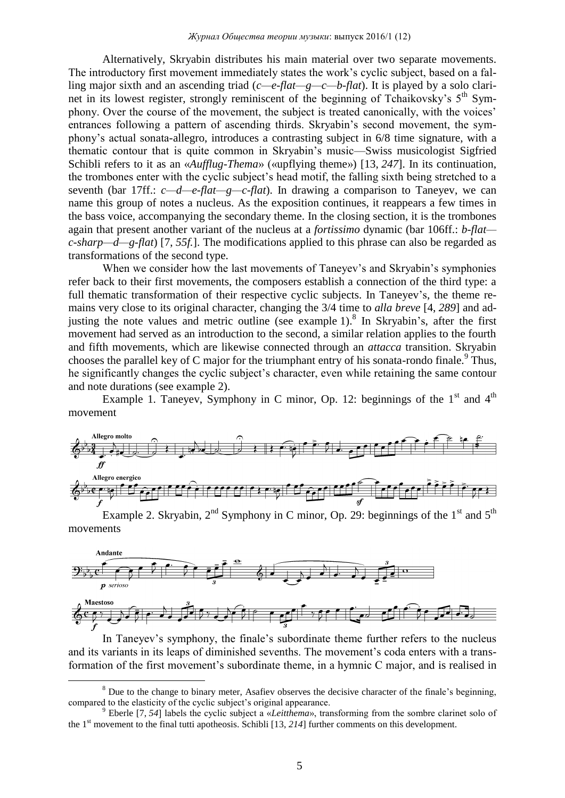Alternatively, Skryabin distributes his main material over two separate movements. The introductory first movement immediately states the work's cyclic subject, based on a falling major sixth and an ascending triad (*c—e-flat—g—c—b-flat*). It is played by a solo clarinet in its lowest register, strongly reminiscent of the beginning of Tchaikovsky's  $5<sup>th</sup>$  Symphony. Over the course of the movement, the subject is treated canonically, with the voices' entrances following a pattern of ascending thirds. Skryabin's second movement, the symphony's actual sonata-allegro, introduces a contrasting subject in 6/8 time signature, with a thematic contour that is quite common in Skryabin's music—Swiss musicologist Sigfried Schibli refers to it as an «*Aufflug-Thema*» («upflying theme») [13, *247*]. In its continuation, the trombones enter with the cyclic subject's head motif, the falling sixth being stretched to a seventh (bar 17ff.: *c—d—e-flat—g—c-flat*). In drawing a comparison to Taneyev, we can name this group of notes a nucleus. As the exposition continues, it reappears a few times in the bass voice, accompanying the secondary theme. In the closing section, it is the trombones again that present another variant of the nucleus at a *fortissimo* dynamic (bar 106ff.: *b-flat c-sharp—d—g-flat*) [7, *55f.*]. The modifications applied to this phrase can also be regarded as transformations of the second type.

When we consider how the last movements of Taneyev's and Skryabin's symphonies refer back to their first movements, the composers establish a connection of the third type: a full thematic transformation of their respective cyclic subjects. In Taneyev's, the theme remains very close to its original character, changing the 3/4 time to *alla breve* [4, *289*] and adjusting the note values and metric outline (see example 1).<sup>8</sup> In Skryabin's, after the first movement had served as an introduction to the second, a similar relation applies to the fourth and fifth movements, which are likewise connected through an *attacca* transition. Skryabin chooses the parallel key of C major for the triumphant entry of his sonata-rondo finale.<sup>9</sup> Thus, he significantly changes the cyclic subject's character, even while retaining the same contour and note durations (see example 2).

Example 1. Taneyev, Symphony in C minor, Op. 12: beginnings of the  $1<sup>st</sup>$  and  $4<sup>th</sup>$ movement



Example 2. Skryabin,  $2<sup>nd</sup>$  Symphony in C minor, Op. 29: beginnings of the 1<sup>st</sup> and 5<sup>th</sup> movements



In Taneyev's symphony, the finale's subordinate theme further refers to the nucleus and its variants in its leaps of diminished sevenths. The movement's coda enters with a transformation of the first movement's subordinate theme, in a hymnic C major, and is realised in

<sup>&</sup>lt;sup>8</sup> Due to the change to binary meter. Asafiev observes the decisive character of the finale's beginning. compared to the elasticity of the cyclic subject's original appearance.

<sup>9</sup> Eberle [7, *54*] labels the cyclic subject a «*Leitthema*», transforming from the sombre clarinet solo of the 1<sup>st</sup> movement to the final tutti apotheosis. Schibli [13, 214] further comments on this development.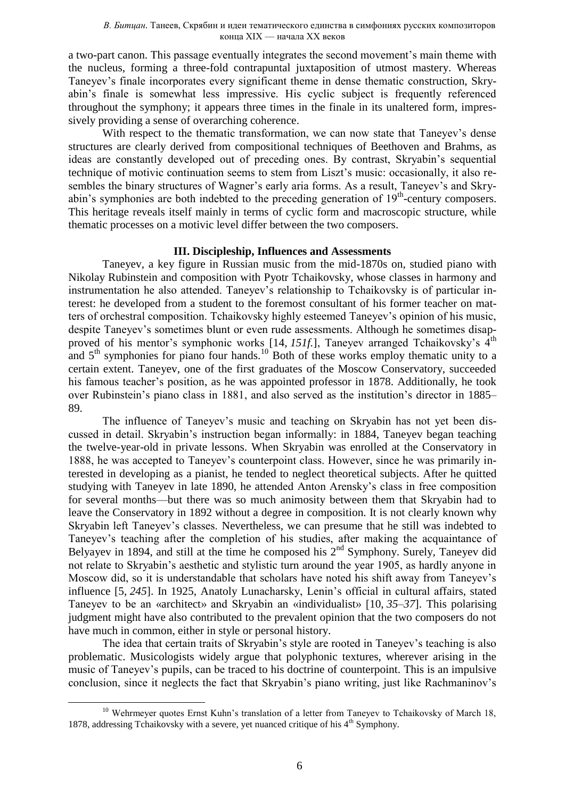a two-part canon. This passage eventually integrates the second movement's main theme with the nucleus, forming a three-fold contrapuntal juxtaposition of utmost mastery. Whereas Taneyev's finale incorporates every significant theme in dense thematic construction, Skryabin's finale is somewhat less impressive. His cyclic subject is frequently referenced throughout the symphony; it appears three times in the finale in its unaltered form, impressively providing a sense of overarching coherence.

With respect to the thematic transformation, we can now state that Taneyev's dense structures are clearly derived from compositional techniques of Beethoven and Brahms, as ideas are constantly developed out of preceding ones. By contrast, Skryabin's sequential technique of motivic continuation seems to stem from Liszt's music: occasionally, it also resembles the binary structures of Wagner's early aria forms. As a result, Taneyev's and Skryabin's symphonies are both indebted to the preceding generation of 19<sup>th</sup>-century composers. This heritage reveals itself mainly in terms of cyclic form and macroscopic structure, while thematic processes on a motivic level differ between the two composers.

## **III. Discipleship, Influences and Assessments**

Taneyev, a key figure in Russian music from the mid-1870s on, studied piano with Nikolay Rubinstein and composition with Pyotr Tchaikovsky, whose classes in harmony and instrumentation he also attended. Taneyev's relationship to Tchaikovsky is of particular interest: he developed from a student to the foremost consultant of his former teacher on matters of orchestral composition. Tchaikovsky highly esteemed Taneyev's opinion of his music, despite Taneyev's sometimes blunt or even rude assessments. Although he sometimes disapproved of his mentor's symphonic works  $[14, 151f]$ , Taneyev arranged Tchaikovsky's  $4<sup>th</sup>$ and  $5<sup>th</sup>$  symphonies for piano four hands.<sup>10</sup> Both of these works employ thematic unity to a certain extent. Taneyev, one of the first graduates of the Moscow Conservatory, succeeded his famous teacher's position, as he was appointed professor in 1878. Additionally, he took over Rubinstein's piano class in 1881, and also served as the institution's director in 1885– 89.

The influence of Taneyev's music and teaching on Skryabin has not yet been discussed in detail. Skryabin's instruction began informally: in 1884, Taneyev began teaching the twelve-year-old in private lessons. When Skryabin was enrolled at the Conservatory in 1888, he was accepted to Taneyev's counterpoint class. However, since he was primarily interested in developing as a pianist, he tended to neglect theoretical subjects. After he quitted studying with Taneyev in late 1890, he attended Anton Arensky's class in free composition for several months—but there was so much animosity between them that Skryabin had to leave the Conservatory in 1892 without a degree in composition. It is not clearly known why Skryabin left Taneyev's classes. Nevertheless, we can presume that he still was indebted to Taneyev's teaching after the completion of his studies, after making the acquaintance of Belyayev in 1894, and still at the time he composed his  $2<sup>nd</sup>$  Symphony. Surely, Taneyev did not relate to Skryabin's aesthetic and stylistic turn around the year 1905, as hardly anyone in Moscow did, so it is understandable that scholars have noted his shift away from Taneyev's influence [5, *245*]. In 1925, Anatoly Lunacharsky, Lenin's official in cultural affairs, stated Taneyev to be an «architect» and Skryabin an «individualist» [10, *35–37*]. This polarising judgment might have also contributed to the prevalent opinion that the two composers do not have much in common, either in style or personal history.

The idea that certain traits of Skryabin's style are rooted in Taneyev's teaching is also problematic. Musicologists widely argue that polyphonic textures, wherever arising in the music of Taneyev's pupils, can be traced to his doctrine of counterpoint. This is an impulsive conclusion, since it neglects the fact that Skryabin's piano writing, just like Rachmaninov's

<sup>1</sup> <sup>10</sup> Wehrmeyer quotes Ernst Kuhn's translation of a letter from Taneyev to Tchaikovsky of March 18 1878, addressing Tchaikovsky with a severe, yet nuanced critique of his 4<sup>th</sup> Symphony.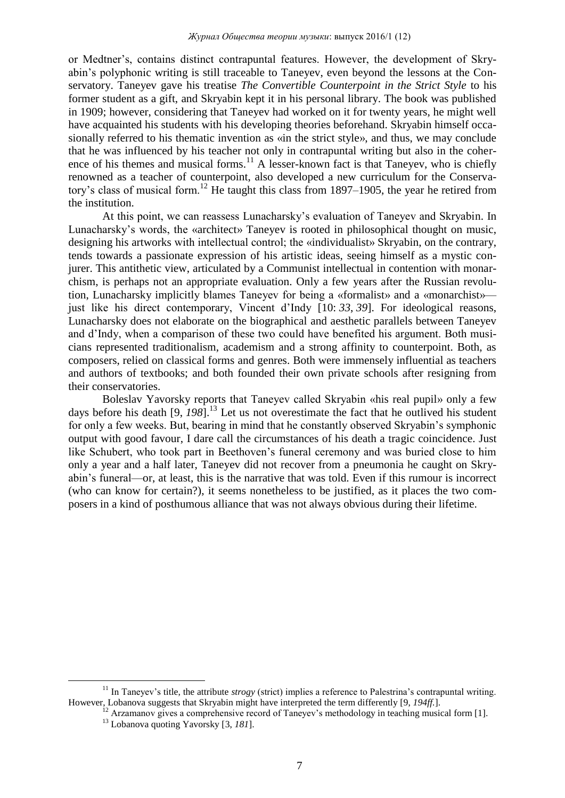or Medtner's, contains distinct contrapuntal features. However, the development of Skryabin's polyphonic writing is still traceable to Taneyev, even beyond the lessons at the Conservatory. Taneyev gave his treatise *The Convertible Counterpoint in the Strict Style* to his former student as a gift, and Skryabin kept it in his personal library. The book was published in 1909; however, considering that Taneyev had worked on it for twenty years, he might well have acquainted his students with his developing theories beforehand. Skryabin himself occasionally referred to his thematic invention as «in the strict style», and thus, we may conclude that he was influenced by his teacher not only in contrapuntal writing but also in the coherence of his themes and musical forms.<sup>11</sup> A lesser-known fact is that Taneyev, who is chiefly renowned as a teacher of counterpoint, also developed a new curriculum for the Conservatory's class of musical form.<sup>12</sup> He taught this class from 1897–1905, the year he retired from the institution.

At this point, we can reassess Lunacharsky's evaluation of Taneyev and Skryabin. In Lunacharsky's words, the «architect» Taneyev is rooted in philosophical thought on music, designing his artworks with intellectual control; the «individualist» Skryabin, on the contrary, tends towards a passionate expression of his artistic ideas, seeing himself as a mystic conjurer. This antithetic view, articulated by a Communist intellectual in contention with monarchism, is perhaps not an appropriate evaluation. Only a few years after the Russian revolution, Lunacharsky implicitly blames Taneyev for being a «formalist» and a «monarchist» just like his direct contemporary, Vincent d'Indy [10: *33*, *39*]. For ideological reasons, Lunacharsky does not elaborate on the biographical and aesthetic parallels between Taneyev and d'Indy, when a comparison of these two could have benefited his argument. Both musicians represented traditionalism, academism and a strong affinity to counterpoint. Both, as composers, relied on classical forms and genres. Both were immensely influential as teachers and authors of textbooks; and both founded their own private schools after resigning from their conservatories.

Boleslav Yavorsky reports that Taneyev called Skryabin «his real pupil» only a few days before his death [9, *198*].<sup>13</sup> Let us not overestimate the fact that he outlived his student for only a few weeks. But, bearing in mind that he constantly observed Skryabin's symphonic output with good favour, I dare call the circumstances of his death a tragic coincidence. Just like Schubert, who took part in Beethoven's funeral ceremony and was buried close to him only a year and a half later, Taneyev did not recover from a pneumonia he caught on Skryabin's funeral—or, at least, this is the narrative that was told. Even if this rumour is incorrect (who can know for certain?), it seems nonetheless to be justified, as it places the two composers in a kind of posthumous alliance that was not always obvious during their lifetime.

<sup>&</sup>lt;sup>11</sup> In Tanevev's title, the attribute *strogy* (strict) implies a reference to Palestrina's contrapuntal writing. However, Lobanova suggests that Skryabin might have interpreted the term differently [9, *194ff.*].

 $\overline{12}$  Arzamanov gives a comprehensive record of Taneyev's methodology in teaching musical form [1].

<sup>13</sup> Lobanova quoting Yavorsky [3, *181*].